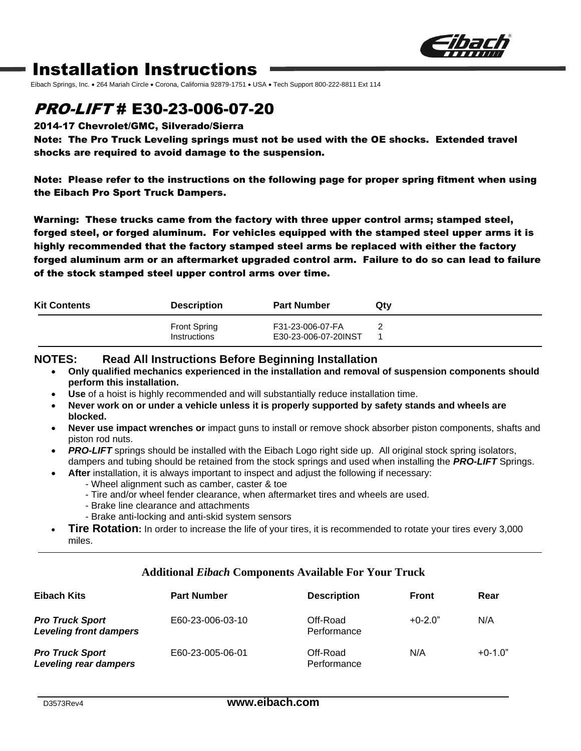

## Installation Instructions

Eibach Springs, Inc. • 264 Mariah Circle • Corona, California 92879-1751 • USA • Tech Support 800-222-8811 Ext 114

## PRO-LIFT # E30-23-006-07-20

#### 2014-17 Chevrolet/GMC, Silverado/Sierra

Note: The Pro Truck Leveling springs must not be used with the OE shocks. Extended travel shocks are required to avoid damage to the suspension.

Note: Please refer to the instructions on the following page for proper spring fitment when using the Eibach Pro Sport Truck Dampers.

Warning: These trucks came from the factory with three upper control arms; stamped steel, forged steel, or forged aluminum. For vehicles equipped with the stamped steel upper arms it is highly recommended that the factory stamped steel arms be replaced with either the factory forged aluminum arm or an aftermarket upgraded control arm. Failure to do so can lead to failure of the stock stamped steel upper control arms over time.

| <b>Kit Contents</b> | <b>Description</b>                  | <b>Part Number</b>                       | Qty |
|---------------------|-------------------------------------|------------------------------------------|-----|
|                     | <b>Front Spring</b><br>Instructions | F31-23-006-07-FA<br>E30-23-006-07-20INST |     |

#### **NOTES: Read All Instructions Before Beginning Installation**

- **Only qualified mechanics experienced in the installation and removal of suspension components should perform this installation.**
- **Use** of a hoist is highly recommended and will substantially reduce installation time.
- **Never work on or under a vehicle unless it is properly supported by safety stands and wheels are blocked.**
- **Never use impact wrenches or** impact guns to install or remove shock absorber piston components, shafts and piston rod nuts.
- **PRO-LIFT** springs should be installed with the Eibach Logo right side up. All original stock spring isolators, dampers and tubing should be retained from the stock springs and used when installing the *PRO-LIFT* Springs.
- **After** installation, it is always important to inspect and adjust the following if necessary:
	- Wheel alignment such as camber, caster & toe
	- Tire and/or wheel fender clearance, when aftermarket tires and wheels are used.
	- Brake line clearance and attachments
	- Brake anti-locking and anti-skid system sensors
- **Tire Rotation:** In order to increase the life of your tires, it is recommended to rotate your tires every 3,000 miles.

#### **Additional** *Eibach* **Components Available For Your Truck**

| <b>Eibach Kits</b>                                      | <b>Part Number</b> | <b>Description</b>      | <b>Front</b> | Rear      |
|---------------------------------------------------------|--------------------|-------------------------|--------------|-----------|
| <b>Pro Truck Sport</b><br><b>Leveling front dampers</b> | E60-23-006-03-10   | Off-Road<br>Performance | $+0-2.0"$    | N/A       |
| <b>Pro Truck Sport</b><br>Leveling rear dampers         | E60-23-005-06-01   | Off-Road<br>Performance | N/A          | $+0-1.0"$ |